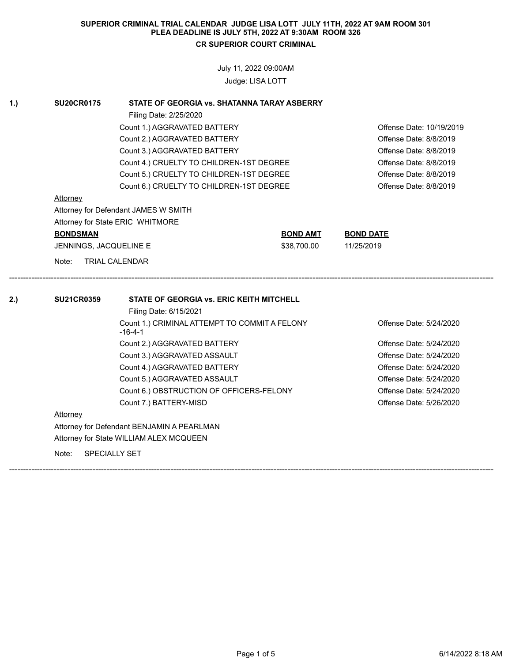July 11, 2022 09:00AM

Judge: LISA LOTT

| <b>SU20CR0175</b>      | STATE OF GEORGIA vs. SHATANNA TARAY ASBERRY                |                 |                                                                               |
|------------------------|------------------------------------------------------------|-----------------|-------------------------------------------------------------------------------|
|                        | Filing Date: 2/25/2020                                     |                 |                                                                               |
|                        | Count 1.) AGGRAVATED BATTERY                               |                 | Offense Date: 10/19/2019                                                      |
|                        | Count 2.) AGGRAVATED BATTERY                               |                 | Offense Date: 8/8/2019                                                        |
|                        | Count 3.) AGGRAVATED BATTERY                               |                 | Offense Date: 8/8/2019                                                        |
|                        | Count 4.) CRUELTY TO CHILDREN-1ST DEGREE                   |                 | Offense Date: 8/8/2019                                                        |
|                        | Count 5.) CRUELTY TO CHILDREN-1ST DEGREE                   |                 | Offense Date: 8/8/2019                                                        |
|                        | Count 6.) CRUELTY TO CHILDREN-1ST DEGREE                   |                 | Offense Date: 8/8/2019                                                        |
| Attorney               |                                                            |                 |                                                                               |
|                        | Attorney for Defendant JAMES W SMITH                       |                 |                                                                               |
|                        | Attorney for State ERIC WHITMORE                           |                 |                                                                               |
| <b>BONDSMAN</b>        |                                                            | <b>BOND AMT</b> | <b>BOND DATE</b>                                                              |
| JENNINGS, JACQUELINE E |                                                            | \$38,700.00     | 11/25/2019                                                                    |
| Note:                  | <b>TRIAL CALENDAR</b>                                      |                 |                                                                               |
|                        |                                                            |                 |                                                                               |
| <b>SU21CR0359</b>      | <b>STATE OF GEORGIA vs. ERIC KEITH MITCHELL</b>            |                 |                                                                               |
|                        | Filing Date: 6/15/2021                                     |                 |                                                                               |
|                        | Count 1.) CRIMINAL ATTEMPT TO COMMIT A FELONY<br>$-16-4-1$ |                 |                                                                               |
|                        | Count 2.) AGGRAVATED BATTERY                               |                 |                                                                               |
|                        | Count 3.) AGGRAVATED ASSAULT                               |                 | Offense Date: 5/24/2020<br>Offense Date: 5/24/2020<br>Offense Date: 5/24/2020 |
|                        | Count 4.) AGGRAVATED BATTERY                               |                 | Offense Date: 5/24/2020                                                       |
|                        | Count 5.) AGGRAVATED ASSAULT                               |                 | Offense Date: 5/24/2020                                                       |
|                        | Count 6.) OBSTRUCTION OF OFFICERS-FELONY                   |                 |                                                                               |
|                        | Count 7.) BATTERY-MISD                                     |                 | Offense Date: 5/26/2020                                                       |
| Attorney               |                                                            |                 | Offense Date: 5/24/2020                                                       |
|                        | Attorney for Defendant BENJAMIN A PEARLMAN                 |                 |                                                                               |
|                        | Attorney for State WILLIAM ALEX MCQUEEN                    |                 |                                                                               |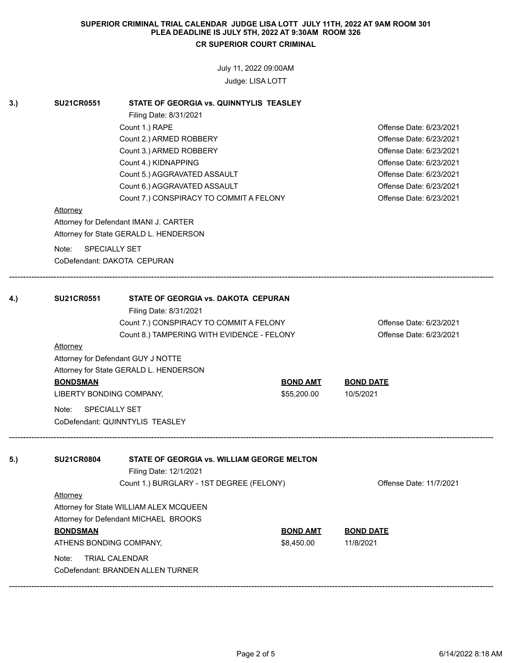July 11, 2022 09:00AM

Judge: LISA LOTT

| 3.) | <b>SU21CR0551</b>                                    | STATE OF GEORGIA vs. QUINNTYLIS TEASLEY    |                         |                                                    |  |
|-----|------------------------------------------------------|--------------------------------------------|-------------------------|----------------------------------------------------|--|
|     |                                                      | Filing Date: 8/31/2021                     |                         |                                                    |  |
|     | Count 1.) RAPE<br>Count 2.) ARMED ROBBERY            |                                            |                         | Offense Date: 6/23/2021<br>Offense Date: 6/23/2021 |  |
|     |                                                      | Count 3.) ARMED ROBBERY                    | Offense Date: 6/23/2021 |                                                    |  |
|     | Count 4.) KIDNAPPING<br>Count 5.) AGGRAVATED ASSAULT |                                            |                         | Offense Date: 6/23/2021<br>Offense Date: 6/23/2021 |  |
|     |                                                      |                                            |                         |                                                    |  |
|     |                                                      | Count 7.) CONSPIRACY TO COMMIT A FELONY    | Offense Date: 6/23/2021 |                                                    |  |
|     | <b>Attorney</b>                                      |                                            |                         |                                                    |  |
|     |                                                      | Attorney for Defendant IMANI J. CARTER     |                         |                                                    |  |
|     |                                                      | Attorney for State GERALD L. HENDERSON     |                         |                                                    |  |
|     | Note:                                                | <b>SPECIALLY SET</b>                       |                         |                                                    |  |
|     |                                                      | CoDefendant: DAKOTA CEPURAN                |                         |                                                    |  |
|     |                                                      |                                            |                         |                                                    |  |
|     |                                                      |                                            |                         |                                                    |  |
| 4.) | <b>SU21CR0551</b>                                    | <b>STATE OF GEORGIA VS. DAKOTA CEPURAN</b> |                         |                                                    |  |
|     |                                                      | Filing Date: 8/31/2021                     |                         |                                                    |  |
|     |                                                      | Count 7.) CONSPIRACY TO COMMIT A FELONY    |                         | Offense Date: 6/23/2021                            |  |
|     |                                                      | Count 8.) TAMPERING WITH EVIDENCE - FELONY | Offense Date: 6/23/2021 |                                                    |  |
|     | <b>Attorney</b>                                      |                                            |                         |                                                    |  |
|     |                                                      | Attorney for Defendant GUY J NOTTE         |                         |                                                    |  |
|     |                                                      | Attorney for State GERALD L. HENDERSON     |                         |                                                    |  |
|     | <b>BONDSMAN</b>                                      |                                            | <b>BOND AMT</b>         | <b>BOND DATE</b>                                   |  |
|     | LIBERTY BONDING COMPANY,                             |                                            | \$55,200.00             | 10/5/2021                                          |  |
|     | SPECIALLY SET<br>Note:                               |                                            |                         |                                                    |  |
|     |                                                      | CoDefendant: QUINNTYLIS TEASLEY            |                         |                                                    |  |
|     |                                                      |                                            |                         |                                                    |  |
| 5.) | <b>SU21CR0804</b>                                    |                                            |                         |                                                    |  |
|     |                                                      | Filing Date: 12/1/2021                     |                         |                                                    |  |
|     |                                                      | Count 1.) BURGLARY - 1ST DEGREE (FELONY)   |                         | Offense Date: 11/7/2021                            |  |
|     | Attorney                                             |                                            |                         |                                                    |  |
|     |                                                      | Attorney for State WILLIAM ALEX MCQUEEN    |                         |                                                    |  |
|     |                                                      | Attorney for Defendant MICHAEL BROOKS      |                         |                                                    |  |
|     | <b>BONDSMAN</b>                                      |                                            | <b>BOND AMT</b>         | <b>BOND DATE</b>                                   |  |
|     | ATHENS BONDING COMPANY,                              |                                            | \$8,450.00              | 11/8/2021                                          |  |
|     | Note:                                                | <b>TRIAL CALENDAR</b>                      |                         |                                                    |  |
|     |                                                      | CoDefendant: BRANDEN ALLEN TURNER          |                         |                                                    |  |

------------------------------------------------------------------------------------------------------------------------------------------------------------------------------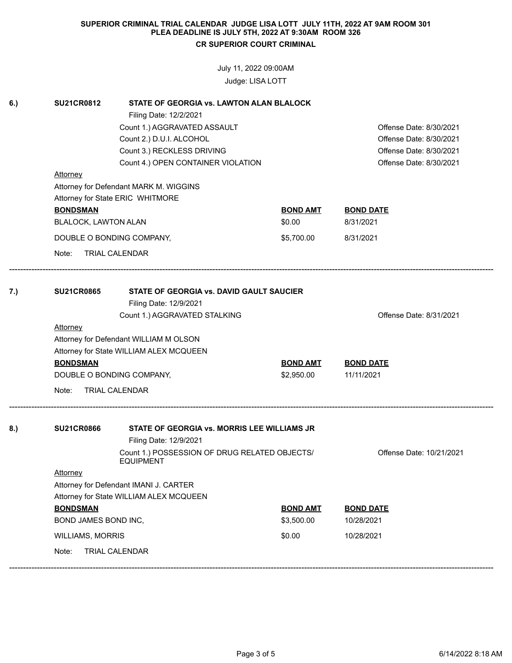July 11, 2022 09:00AM

Judge: LISA LOTT

| 6.) | <b>SU21CR0812</b>                                                                           | <b>STATE OF GEORGIA vs. LAWTON ALAN BLALOCK</b> |                 |                          |  |  |  |
|-----|---------------------------------------------------------------------------------------------|-------------------------------------------------|-----------------|--------------------------|--|--|--|
|     |                                                                                             | Filing Date: 12/2/2021                          |                 |                          |  |  |  |
|     |                                                                                             | Count 1.) AGGRAVATED ASSAULT                    |                 | Offense Date: 8/30/2021  |  |  |  |
|     |                                                                                             | Count 2.) D.U.I. ALCOHOL                        |                 | Offense Date: 8/30/2021  |  |  |  |
|     |                                                                                             | Count 3.) RECKLESS DRIVING                      |                 | Offense Date: 8/30/2021  |  |  |  |
|     |                                                                                             | Count 4.) OPEN CONTAINER VIOLATION              |                 | Offense Date: 8/30/2021  |  |  |  |
|     |                                                                                             | Attorney                                        |                 |                          |  |  |  |
|     |                                                                                             | Attorney for Defendant MARK M. WIGGINS          | <b>BOND AMT</b> |                          |  |  |  |
|     |                                                                                             | Attorney for State ERIC WHITMORE                |                 |                          |  |  |  |
|     | <b>BONDSMAN</b>                                                                             |                                                 |                 | <b>BOND DATE</b>         |  |  |  |
|     | BLALOCK, LAWTON ALAN                                                                        |                                                 | \$0.00          | 8/31/2021                |  |  |  |
|     |                                                                                             | DOUBLE O BONDING COMPANY,                       | \$5,700.00      | 8/31/2021                |  |  |  |
|     | Note:                                                                                       | <b>TRIAL CALENDAR</b>                           |                 |                          |  |  |  |
| 7.) | <b>SU21CR0865</b>                                                                           | STATE OF GEORGIA vs. DAVID GAULT SAUCIER        |                 |                          |  |  |  |
|     |                                                                                             | Filing Date: 12/9/2021                          |                 |                          |  |  |  |
|     |                                                                                             | Count 1.) AGGRAVATED STALKING                   |                 | Offense Date: 8/31/2021  |  |  |  |
|     | <b>Attorney</b>                                                                             |                                                 |                 |                          |  |  |  |
|     |                                                                                             | Attorney for Defendant WILLIAM M OLSON          |                 |                          |  |  |  |
|     |                                                                                             | Attorney for State WILLIAM ALEX MCQUEEN         |                 |                          |  |  |  |
|     | <b>BONDSMAN</b>                                                                             |                                                 | <b>BOND AMT</b> | <b>BOND DATE</b>         |  |  |  |
|     |                                                                                             | DOUBLE O BONDING COMPANY,                       | \$2,950.00      | 11/11/2021               |  |  |  |
|     | Note:                                                                                       | <b>TRIAL CALENDAR</b>                           |                 |                          |  |  |  |
|     |                                                                                             | STATE OF GEORGIA vs. MORRIS LEE WILLIAMS JR     |                 |                          |  |  |  |
| 8.) | <b>SU21CR0866</b>                                                                           |                                                 |                 |                          |  |  |  |
|     | Filing Date: 12/9/2021<br>Count 1.) POSSESSION OF DRUG RELATED OBJECTS/<br><b>EQUIPMENT</b> |                                                 |                 | Offense Date: 10/21/2021 |  |  |  |
|     | <b>Attorney</b>                                                                             |                                                 |                 |                          |  |  |  |
|     | Attorney for Defendant IMANI J. CARTER                                                      |                                                 |                 |                          |  |  |  |
|     |                                                                                             | Attorney for State WILLIAM ALEX MCQUEEN         |                 |                          |  |  |  |
|     | <b>BONDSMAN</b>                                                                             |                                                 | <b>BOND AMT</b> | <b>BOND DATE</b>         |  |  |  |
|     | BOND JAMES BOND INC,                                                                        |                                                 | \$3,500.00      | 10/28/2021               |  |  |  |
|     | <b>WILLIAMS, MORRIS</b>                                                                     |                                                 | \$0.00          | 10/28/2021               |  |  |  |
|     | Note:                                                                                       | <b>TRIAL CALENDAR</b>                           |                 |                          |  |  |  |
|     |                                                                                             |                                                 |                 |                          |  |  |  |

------------------------------------------------------------------------------------------------------------------------------------------------------------------------------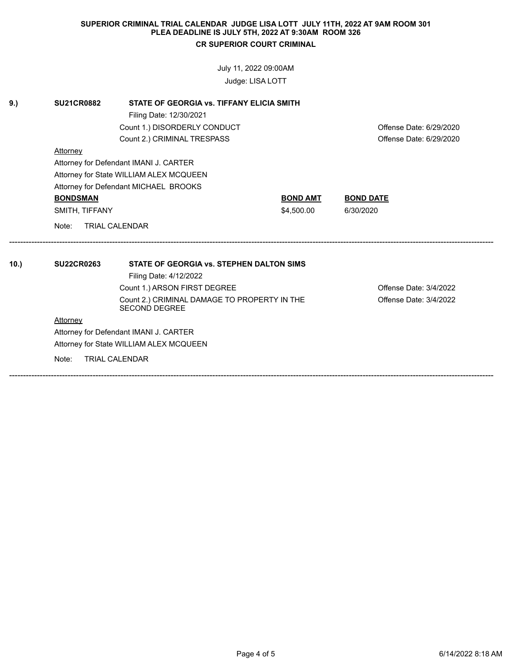July 11, 2022 09:00AM

Judge: LISA LOTT

| 9.)  | <b>SU21CR0882</b>            | STATE OF GEORGIA vs. TIFFANY ELICIA SMITH                            |                         |                         |  |  |  |
|------|------------------------------|----------------------------------------------------------------------|-------------------------|-------------------------|--|--|--|
|      |                              | Filing Date: 12/30/2021                                              | Offense Date: 6/29/2020 |                         |  |  |  |
|      |                              | Count 1.) DISORDERLY CONDUCT                                         |                         |                         |  |  |  |
|      |                              | Count 2.) CRIMINAL TRESPASS                                          |                         | Offense Date: 6/29/2020 |  |  |  |
|      | Attorney                     |                                                                      |                         |                         |  |  |  |
|      |                              | Attorney for Defendant IMANI J. CARTER                               |                         |                         |  |  |  |
|      |                              | Attorney for State WILLIAM ALEX MCQUEEN                              |                         |                         |  |  |  |
|      |                              | Attorney for Defendant MICHAEL BROOKS                                |                         |                         |  |  |  |
|      | <b>BONDSMAN</b>              |                                                                      | <b>BOND AMT</b>         | <b>BOND DATE</b>        |  |  |  |
|      | SMITH, TIFFANY               |                                                                      | \$4,500.00              | 6/30/2020               |  |  |  |
|      | Note:                        | <b>TRIAL CALENDAR</b>                                                |                         |                         |  |  |  |
|      |                              |                                                                      |                         |                         |  |  |  |
| 10.) | <b>SU22CR0263</b>            | STATE OF GEORGIA vs. STEPHEN DALTON SIMS                             |                         |                         |  |  |  |
|      |                              | Filing Date: 4/12/2022                                               |                         |                         |  |  |  |
|      | Count 1.) ARSON FIRST DEGREE |                                                                      |                         | Offense Date: 3/4/2022  |  |  |  |
|      |                              | Count 2.) CRIMINAL DAMAGE TO PROPERTY IN THE<br><b>SECOND DEGREE</b> |                         | Offense Date: 3/4/2022  |  |  |  |
|      | Attorney                     |                                                                      |                         |                         |  |  |  |
|      |                              | Attorney for Defendant IMANI J. CARTER                               |                         |                         |  |  |  |
|      |                              | Attorney for State WILLIAM ALEX MCQUEEN                              |                         |                         |  |  |  |
|      | Note:                        | <b>TRIAL CALENDAR</b>                                                |                         |                         |  |  |  |
|      |                              |                                                                      |                         |                         |  |  |  |

------------------------------------------------------------------------------------------------------------------------------------------------------------------------------